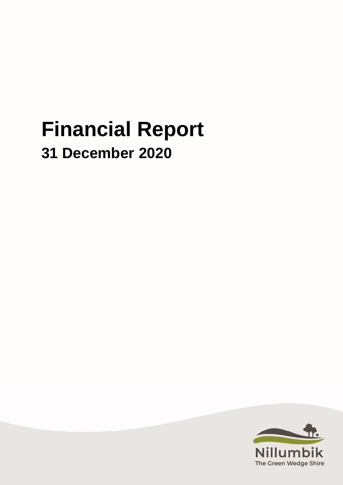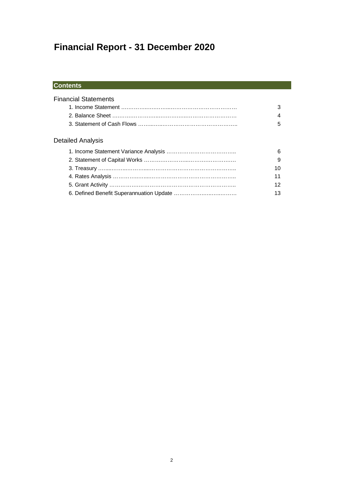### **Contents**

| 5  |
|----|
|    |
| 6  |
| 9  |
| 10 |
| 11 |
| 12 |
| 13 |
|    |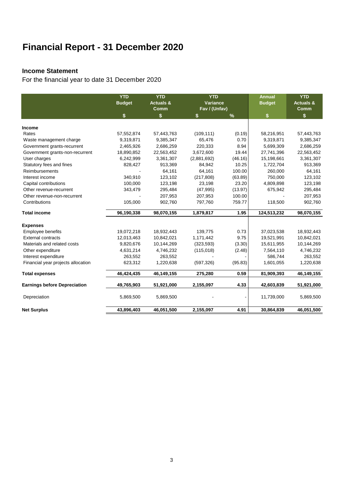#### **Income Statement**

For the financial year to date 31 December 2020

|                                     | <b>YTD</b><br><b>Budget</b> | <b>YTD</b><br><b>Actuals &amp;</b><br>Comm | <b>YTD</b><br><b>Variance</b><br>Fav / (Unfav) |         | <b>Annual</b><br><b>Budget</b> | <b>YTD</b><br><b>Actuals &amp;</b><br>Comm |
|-------------------------------------|-----------------------------|--------------------------------------------|------------------------------------------------|---------|--------------------------------|--------------------------------------------|
|                                     | \$                          | \$                                         | \$                                             | $\%$    | \$                             | \$                                         |
| Income                              |                             |                                            |                                                |         |                                |                                            |
| Rates                               | 57,552,874                  | 57,443,763                                 | (109, 111)                                     | (0.19)  | 58,216,951                     | 57,443,763                                 |
| Waste management charge             | 9,319,871                   | 9,385,347                                  | 65,476                                         | 0.70    | 9,319,871                      | 9,385,347                                  |
| Government grants-recurrent         | 2,465,926                   | 2,686,259                                  | 220,333                                        | 8.94    | 5,699,309                      | 2,686,259                                  |
| Government grants-non-recurrent     | 18,890,852                  | 22,563,452                                 | 3,672,600                                      | 19.44   | 27,741,396                     | 22,563,452                                 |
| User charges                        | 6,242,999                   | 3,361,307                                  | (2,881,692)                                    | (46.16) | 15,198,661                     | 3,361,307                                  |
| Statutory fees and fines            | 828,427                     | 913,369                                    | 84,942                                         | 10.25   | 1,722,704                      | 913,369                                    |
| Reimbursements                      |                             | 64,161                                     | 64,161                                         | 100.00  | 260,000                        | 64,161                                     |
| Interest income                     | 340,910                     | 123,102                                    | (217, 808)                                     | (63.89) | 750,000                        | 123,102                                    |
| Capital contributions               | 100,000                     | 123,198                                    | 23,198                                         | 23.20   | 4,809,898                      | 123,198                                    |
| Other revenue-recurrent             | 343,479                     | 295,484                                    | (47, 995)                                      | (13.97) | 675,942                        | 295,484                                    |
| Other revenue-non-recurrent         |                             | 207,953                                    | 207,953                                        | 100.00  |                                | 207,953                                    |
| Contributions                       | 105,000                     | 902,760                                    | 797,760                                        | 759.77  | 118,500                        | 902,760                                    |
| <b>Total income</b>                 | 96,190,338                  | 98,070,155                                 | 1,879,817                                      | 1.95    | 124,513,232                    | 98,070,155                                 |
| <b>Expenses</b>                     |                             |                                            |                                                |         |                                |                                            |
| <b>Employee benefits</b>            | 19,072,218                  | 18,932,443                                 | 139,775                                        | 0.73    | 37,023,538                     | 18,932,443                                 |
| <b>External contracts</b>           | 12,013,463                  | 10,842,021                                 | 1,171,442                                      | 9.75    | 19,521,991                     | 10,842,021                                 |
| Materials and related costs         | 9,820,676                   | 10,144,269                                 | (323, 593)                                     | (3.30)  | 15,611,955                     | 10,144,269                                 |
| Other expenditure                   | 4,631,214                   | 4,746,232                                  | (115,018)                                      | (2.48)  | 7,564,110                      | 4,746,232                                  |
| Interest expenditure                | 263,552                     | 263,552                                    |                                                |         | 586,744                        | 263,552                                    |
| Financial year projects allocation  | 623,312                     | 1,220,638                                  | (597, 326)                                     | (95.83) | 1,601,055                      | 1,220,638                                  |
| <b>Total expenses</b>               | 46,424,435                  | 46,149,155                                 | 275,280                                        | 0.59    | 81,909,393                     | 46,149,155                                 |
| <b>Earnings before Depreciation</b> | 49,765,903                  | 51,921,000                                 | 2,155,097                                      | 4.33    | 42,603,839                     | 51,921,000                                 |
| Depreciation                        | 5,869,500                   | 5,869,500                                  |                                                |         | 11,739,000                     | 5,869,500                                  |
| <b>Net Surplus</b>                  | 43,896,403                  | 46,051,500                                 | 2,155,097                                      | 4.91    | 30,864,839                     | 46,051,500                                 |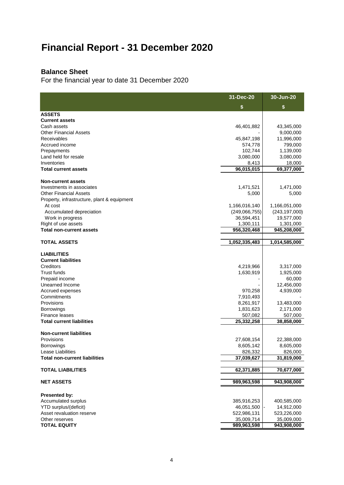### **Balance Sheet**

For the financial year to date 31 December 2020

|                                                  | 31-Dec-20               | 30-Jun-20               |
|--------------------------------------------------|-------------------------|-------------------------|
|                                                  | \$                      | \$                      |
| <b>ASSETS</b>                                    |                         |                         |
| <b>Current assets</b>                            |                         |                         |
| Cash assets                                      | 46,401,882              | 43,345,000              |
| <b>Other Financial Assets</b>                    |                         | 9,000,000               |
| Receivables                                      | 45,847,198              | 11,996,000              |
| Accrued income                                   | 574,778                 | 799,000                 |
| Prepayments                                      | 102,744                 | 1,139,000               |
| Land held for resale<br>Inventories              | 3,080,000<br>8,413      | 3,080,000<br>18,000     |
| <b>Total current assets</b>                      | 96,015,015              | 69,377,000              |
|                                                  |                         |                         |
| <b>Non-current assets</b>                        |                         |                         |
| Investments in associates                        | 1,471,521               | 1,471,000               |
| <b>Other Financial Assets</b>                    | 5,000                   | 5,000                   |
| Property, infrastructure, plant & equipment      |                         |                         |
| At cost                                          | 1,166,016,140           | 1,166,051,000           |
| Accumulated depreciation                         | (249,066,755)           | (243, 197, 000)         |
| Work in progress                                 | 36,594,451              | 19,577,000              |
| Right of use assets                              | 1,300,111               | 1,301,000               |
| <b>Total non-current assets</b>                  | 956,320,468             | 945,208,000             |
| TOTAL ASSETS                                     | 1,052,335,483           | 1,014,585,000           |
| <b>LIABILITIES</b><br><b>Current liabilities</b> |                         |                         |
| Creditors<br><b>Trust funds</b>                  | 4,219,966               | 3,317,000               |
| Prepaid income                                   | 1,630,919               | 1,925,000               |
| Unearned Income                                  |                         | 60,000<br>12,456,000    |
| Accrued expenses                                 | 970,258                 | 4,939,000               |
| Commitments                                      | 7,910,493               |                         |
| Provisions                                       | 8,261,917               | 13,483,000              |
| Borrowings                                       | 1,831,623               | 2,171,000               |
| Finance leases                                   | 507,082                 | 507,000                 |
| <b>Total current liabilities</b>                 | 25,332,258              | 38,858,000              |
|                                                  |                         |                         |
| <b>Non-current liabilities</b>                   |                         |                         |
| Provisions<br><b>Borrowings</b>                  | 27,608,154<br>8,605,142 | 22,388,000<br>8,605,000 |
| Lease Liabilities                                | 826,332                 | 826,000                 |
| <b>Total non-current liabilities</b>             | 37,039,627              | 31,819,000              |
|                                                  |                         |                         |
| <b>TOTAL LIABILITIES</b>                         | 62,371,885              | 70,677,000              |
| <b>NET ASSETS</b>                                | 989,963,598             | 943,908,000             |
| Presented by:                                    |                         |                         |
| Accumulated surplus                              | 385,916,253             | 400,585,000             |
| YTD surplus/(deficit)                            | 46,051,500              | 14,912,000              |
| Asset revaluation reserve                        | 522,986,131             | 523,226,000             |
| Other reserves                                   | 35,009,714              | 35,009,000              |
| <b>TOTAL EQUITY</b>                              | 989,963,598             | 943,908,000             |
|                                                  |                         |                         |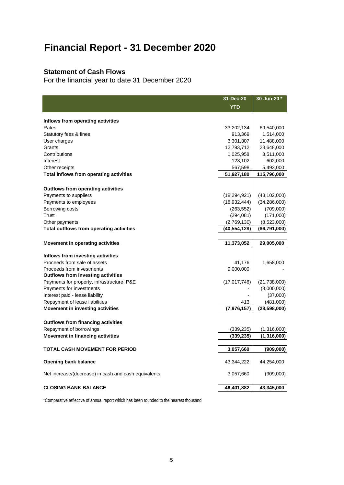#### **Statement of Cash Flows**

For the financial year to date 31 December 2020

|                                                      | 31-Dec-20      | 30-Jun-20 *    |
|------------------------------------------------------|----------------|----------------|
|                                                      | <b>YTD</b>     |                |
| Inflows from operating activities                    |                |                |
| Rates                                                | 33,202,134     | 69,540,000     |
| Statutory fees & fines                               | 913,369        | 1,514,000      |
| User charges                                         | 3,301,307      | 11,488,000     |
| Grants                                               | 12,793,712     | 23,648,000     |
| Contributions                                        | 1,025,958      | 3,511,000      |
| Interest                                             | 123,102        | 602,000        |
| Other receipts                                       | 567,598        | 5,493,000      |
| Total inflows from operating activities              | 51,927,180     | 115,796,000    |
| <b>Outflows from operating activities</b>            |                |                |
| Payments to suppliers                                | (18, 294, 921) | (43, 102, 000) |
| Payments to employees                                | (18,932,444)   | (34, 286, 000) |
| Borrowing costs                                      | (263, 552)     | (709,000)      |
| Trust                                                | (294,081)      | (171,000)      |
| Other payments                                       | (2,769,130)    | (8,523,000)    |
| Total outflows from operating activities             | (40, 554, 128) | (86,791,000)   |
|                                                      |                |                |
| <b>Movement in operating activities</b>              | 11,373,052     | 29,005,000     |
| Inflows from investing activities                    |                |                |
| Proceeds from sale of assets                         | 41,176         | 1,658,000      |
| Proceeds from investments                            | 9,000,000      |                |
| <b>Outflows from investing activities</b>            |                |                |
| Payments for property, infrastructure, P&E           | (17, 017, 746) | (21,738,000)   |
| Payments for investments                             |                | (8,000,000)    |
| Interest paid - lease liability                      |                | (37,000)       |
| Repayment of lease liabilities                       | 413            | (481,000)      |
| Movement in investing activities                     | (7,976,157)    | (28, 598, 000) |
| <b>Outflows from financing activities</b>            |                |                |
| Repayment of borrowings                              | (339, 235)     | (1,316,000)    |
| <b>Movement in financing activities</b>              | (339, 235)     | (1,316,000)    |
| <b>TOTAL CASH MOVEMENT FOR PERIOD</b>                |                |                |
|                                                      | 3,057,660      | (909,000)      |
| <b>Opening bank balance</b>                          | 43,344,222     | 44,254,000     |
| Net increase/(decrease) in cash and cash equivalents | 3,057,660      | (909,000)      |
| <b>CLOSING BANK BALANCE</b>                          | 46,401,882     | 43,345,000     |

\*Comparative reflective of annual report which has been rounded to the nearest thousand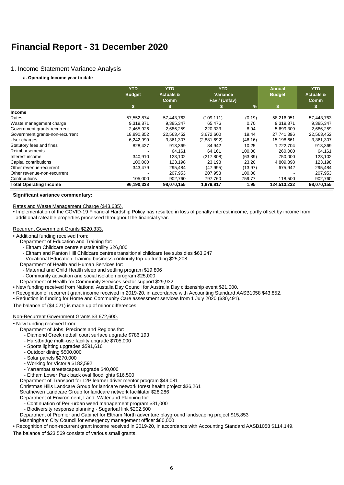#### 1. Income Statement Variance Analysis

#### **a. Operating Income year to date**

|                                 | <b>YTD</b><br><b>Budget</b> | <b>YTD</b><br><b>Actuals &amp;</b><br><b>Comm</b> | <b>YTD</b><br>Variance<br>Fav / (Unfav) |               | <b>Annual</b><br><b>Budget</b> | <b>YTD</b><br><b>Actuals &amp;</b><br><b>Comm</b> |
|---------------------------------|-----------------------------|---------------------------------------------------|-----------------------------------------|---------------|--------------------------------|---------------------------------------------------|
|                                 | \$                          |                                                   |                                         | $\frac{9}{6}$ |                                |                                                   |
| <b>Income</b>                   |                             |                                                   |                                         |               |                                |                                                   |
| Rates                           | 57,552,874                  | 57,443,763                                        | (109, 111)                              | (0.19)        | 58,216,951                     | 57,443,763                                        |
| Waste management charge         | 9,319,871                   | 9,385,347                                         | 65,476                                  | 0.70          | 9,319,871                      | 9,385,347                                         |
| Government grants-recurrent     | 2,465,926                   | 2,686,259                                         | 220,333                                 | 8.94          | 5,699,309                      | 2,686,259                                         |
| Government grants-non-recurrent | 18,890,852                  | 22,563,452                                        | 3,672,600                               | 19.44         | 27.741.396                     | 22,563,452                                        |
| User charges                    | 6,242,999                   | 3,361,307                                         | (2,881,692)                             | (46.16)       | 15,198,661                     | 3,361,307                                         |
| Statutory fees and fines        | 828,427                     | 913,369                                           | 84,942                                  | 10.25         | 1,722,704                      | 913,369                                           |
| Reimbursements                  |                             | 64,161                                            | 64,161                                  | 100.00        | 260,000                        | 64,161                                            |
| Interest income                 | 340,910                     | 123,102                                           | (217, 808)                              | (63.89)       | 750,000                        | 123,102                                           |
| Capital contributions           | 100,000                     | 123,198                                           | 23,198                                  | 23.20         | 4,809,898                      | 123,198                                           |
| Other revenue-recurrent         | 343,479                     | 295,484                                           | (47, 995)                               | (13.97)       | 675,942                        | 295,484                                           |
| Other revenue-non-recurrent     |                             | 207,953                                           | 207.953                                 | 100.00        |                                | 207,953                                           |
| Contributions                   | 105,000                     | 902,760                                           | 797,760                                 | 759.77        | 118,500                        | 902,760                                           |
| <b>Total Operating Income</b>   | 96,190,338                  | 98,070,155                                        | 1,879,817                               | 1.95          | 124,513,232                    | 98,070,155                                        |

#### **Significant variance commentary:**

Rates and Waste Management Charge (\$43,635).

• Implementation of the COVID-19 Financial Hardship Policy has resulted in loss of penalty interest income, partly offset by income from additional rateable properties processed throughout the financial year.

#### Recurrent Government Grants \$220,333.

- Additional funding received from:
	- Department of Education and Training for:
	- Eltham Childcare centre sustainability \$26,800
	- Eltham and Panton Hill Childcare centres transitional childcare fee subsidies \$63,247
	- Vocational Education Training business continuity top-up funding \$25,208
	- Department of Health and Human Services for:
	- Maternal and Child Health sleep and settling program \$19,806
	- Community activation and social isolation program \$25,000
	- Department of Health for Community Services sector support \$29,932.
- New funding received from National Austalia Day Council for Australia Day citizenship event \$21,000.
- Recognition of recurrent grant income received in 2019-20, in accordance with Accounting Standard AASB1058 \$43,852.
- Reduction in funding for Home and Community Care assessment services from 1 July 2020 (\$30,491).

The balance of (\$4,021) is made up of minor differences.

#### Non-Recurrent Government Grants \$3,672,600.

- New funding received from:
	- Department of Jobs, Precincts and Regions for:
		- Diamond Creek netball court surface upgrade \$786,193
		- Hurstbridge multi-use facility upgrade \$705,000
		- Sports lighting upgrades \$591,616
		- Outdoor dining \$500,000
		- Solar panels \$270,000
		- Working for Victoria \$182,592
		- Yarrambat streetscapes upgrade \$40,000
		- Eltham Lower Park back oval floodlights \$16,500
	- Department of Transport for L2P learner driver mentor program \$49,081
	- Christmas Hills Landcare Group for landcare network forest health project \$36,261
	- Strathewen Landcare Group for landcare network facilitator \$28,286
	- Department of Environment, Land, Water and Planning for:
		- Continuation of Peri-urban weed management program \$31,000
		- Biodiversity response planning Sugarloaf link \$202,500
	- Department of Premier and Cabinet for Eltham North adventure playground landscaping project \$15,853
	- Manningham City Council for emergency management officer \$80,000
- Recognition of non-recurrent grant income received in 2019-20, in accordance with Accounting Standard AASB1058 \$114,149.
- The balance of \$23,569 consists of various small grants.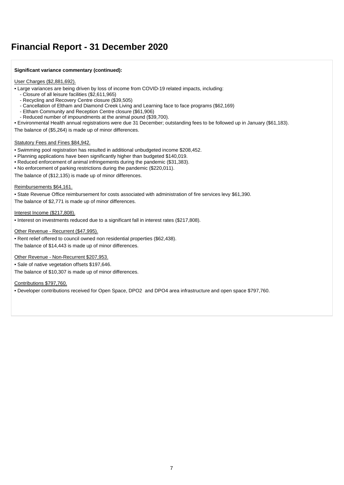#### **Significant variance commentary (continued):**

#### User Charges (\$2,881,692).

• Large variances are being driven by loss of income from COVID-19 related impacts, including:

- Closure of all leisure facilities (\$2,611,965)
- Recycling and Recovery Centre closure (\$39,505)
- Cancellation of Eltham and Diamond Creek Living and Learning face to face programs (\$62,169)
- Eltham Community and Reception Centre closure (\$61,906)
- Reduced number of impoundments at the animal pound (\$39,700).
- Environmental Health annual registrations were due 31 December; outstanding fees to be followed up in January (\$61,183).

The balance of (\$5,264) is made up of minor differences.

#### Statutory Fees and Fines \$84,942.

- Swimming pool registration has resulted in additional unbudgeted income \$208,452.
- Planning applications have been significantly higher than budgeted \$140,019.
- Reduced enforcement of animal infringements during the pandemic (\$31,383).
- No enforcement of parking restrictions during the pandemic (\$220,011).

The balance of (\$12,135) is made up of minor differences.

#### Reimbursements \$64,161.

• State Revenue Office reimbursement for costs associated with administration of fire services levy \$61,390.

The balance of \$2,771 is made up of minor differences.

Interest Income (\$217,808).

• Interest on investments reduced due to a significant fall in interest rates (\$217,808).

Other Revenue - Recurrent (\$47,995).

• Rent relief offered to council owned non residential properties (\$62,438). The balance of \$14,443 is made up of minor differences.

Other Revenue - Non-Recurrent \$207,953.

• Sale of native vegetation offsets \$197,646.

The balance of \$10,307 is made up of minor differences.

Contributions \$797,760.

• Developer contributions received for Open Space, DPO2 and DPO4 area infrastructure and open space \$797,760.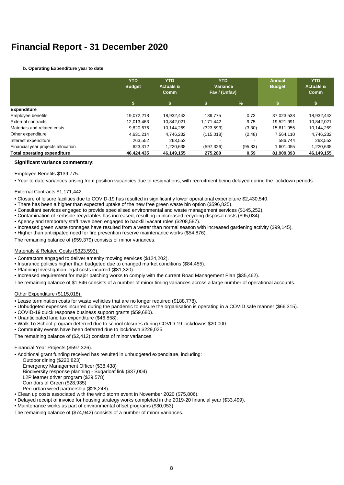#### **b. Operating Expenditure year to date**

|                                    | <b>YTD</b><br><b>Budget</b> | <b>YTD</b><br><b>Actuals &amp;</b><br><b>Comm</b> | <b>YTD</b><br>Variance<br>Fav / (Unfav) |         | <b>Annual</b><br><b>Budget</b> | <b>YTD</b><br><b>Actuals &amp;</b><br>Comm |
|------------------------------------|-----------------------------|---------------------------------------------------|-----------------------------------------|---------|--------------------------------|--------------------------------------------|
|                                    | \$                          |                                                   |                                         | %       |                                | \$                                         |
| <b>Expenditure</b>                 |                             |                                                   |                                         |         |                                |                                            |
| Employee benefits                  | 19.072.218                  | 18.932.443                                        | 139.775                                 | 0.73    | 37,023,538                     | 18,932,443                                 |
| External contracts                 | 12,013,463                  | 10,842,021                                        | 1,171,442                               | 9.75    | 19.521.991                     | 10,842,021                                 |
| Materials and related costs        | 9,820,676                   | 10.144.269                                        | (323, 593)                              | (3.30)  | 15,611,955                     | 10,144,269                                 |
| Other expenditure                  | 4,631,214                   | 4.746.232                                         | (115,018)                               | (2.48)  | 7,564,110                      | 4,746,232                                  |
| Interest expenditure               | 263,552                     | 263,552                                           |                                         |         | 586.744                        | 263,552                                    |
| Financial year projects allocation | 623,312                     | .220,638                                          | (597, 326)                              | (95.83) | 1,601,055                      | 1,220,638                                  |
| <b>Total operating expenditure</b> | 46.424.435                  | 46,149,155                                        | 275,280                                 | 0.59    | 81,909,393                     | 46,149,155                                 |

#### **Significant variance commentary:**

#### Employee Benefits \$139,775.

• Year to date variances arising from position vacancies due to resignations, with recruitment being delayed during the lockdown periods.

#### External Contracts \$1,171,442.

- Closure of leisure facilities due to COVID-19 has resulted in significantly lower operational expenditure \$2,430,540.
- There has been a higher than expected uptake of the new free green waste bin option (\$596,825).
- Consultant services engaged to provide specialised environmental and waste management services (\$145,252).
- Contamination of kerbside recyclables has increased, resulting in increased recycling disposal costs (\$95,034).
- Agency and temporary staff have been engaged to backfill vacant roles (\$208,587).
- Increased green waste tonnages have resulted from a wetter than normal season with increased gardening activity (\$99,145).
- Higher than anticipated need for fire prevention reserve maintenance works (\$54,876).
- The remaining balance of (\$59,379) consists of minor variances.

#### Materials & Related Costs (\$323,593).

- Contractors engaged to deliver amenity mowing services (\$124,202).
- Insurance policies higher than budgeted due to changed market conditions (\$84,455).
- Planning Investigation legal costs incurred (\$81,320).
- Increased requirement for major patching works to comply with the current Road Management Plan (\$35,462).

The remaining balance of \$1,846 consists of a number of minor timing variances across a large number of operational accounts.

#### Other Expenditure (\$115,018).

- Lease termination costs for waste vehicles that are no longer required (\$188,778).
- Unbudgeted expenses incurred during the pandemic to ensure the organisation is operating in a COVID safe manner (\$66,315).
- COVID-19 quick response business support grants (\$59,680).
- Unanticipated land tax expenditure (\$46,858).
- Walk To School program deferred due to school closures during COVID-19 lockdowns \$20,000.
- Community events have been deferred due to lockdown \$229,025.

The remaining balance of (\$2,412) consists of minor variances.

#### Financial Year Projects (\$597,326).

• Additional grant funding received has resulted in unbudgeted expenditure, including: Outdoor dining (\$220,823) Emergency Management Officer (\$38,438) Biodiversity response planning - Sugarloaf link (\$37,004) L2P learner driver program (\$29,578) Corridors of Green (\$28,935) Peri-urban weed partnership (\$28,248). • Clean up costs associated with the wind storm event in November 2020 (\$75,806).

- Delayed receipt of invoice for housing strategy works completed in the 2019-20 financial year (\$33,499).
- Maintenance works as part of environmental offset programs (\$30,053).

The remaining balance of (\$74,942) consists of a number of minor variances.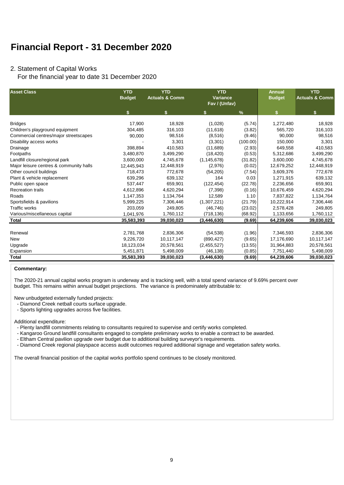#### 2. Statement of Capital Works

For the financial year to date 31 December 2020

| <b>Asset Class</b>                      | <b>YTD</b><br><b>Budget</b> | <b>YTD</b><br><b>Actuals &amp; Comm</b> | <b>YTD</b>    | <b>Variance</b><br>Fav / (Unfav) |            | <b>YTD</b><br><b>Actuals &amp; Comm</b> |
|-----------------------------------------|-----------------------------|-----------------------------------------|---------------|----------------------------------|------------|-----------------------------------------|
|                                         | \$                          | \$.                                     |               | $\frac{9}{6}$                    | \$         | \$.                                     |
| <b>Bridges</b>                          | 17,900                      | 18,928                                  | (1,028)       | (5.74)                           | 1,272,480  | 18,928                                  |
| Children's playground equipment         | 304,485                     | 316,103                                 | (11, 618)     | (3.82)                           | 565,720    | 316,103                                 |
| Commercial centres/major streetscapes   | 90,000                      | 98,516                                  | (8,516)       | (9.46)                           | 90.000     | 98,516                                  |
| Disability access works                 |                             | 3,301                                   | (3,301)       | (100.00)                         | 150,000    | 3,301                                   |
| Drainage                                | 398.894                     | 410,583                                 | (11,689)      | (2.93)                           | 649,558    | 410,583                                 |
| Footpaths                               | 3,480,870                   | 3,499,290                               | (18, 420)     | (0.53)                           | 5,312,686  | 3,499,290                               |
| Landfill closure/regional park          | 3,600,000                   | 4,745,678                               | (1, 145, 678) | (31.82)                          | 3,600,000  | 4,745,678                               |
| Major leisure centres & community halls | 12,445,943                  | 12,448,919                              | (2,976)       | (0.02)                           | 12,679,252 | 12,448,919                              |
| Other council buildings                 | 718,473                     | 772.678                                 | (54, 205)     | (7.54)                           | 3,609,376  | 772,678                                 |
| Plant & vehicle replacement             | 639,296                     | 639,132                                 | 164           | 0.03                             | 1,271,915  | 639,132                                 |
| Public open space                       | 537,447                     | 659,901                                 | (122, 454)    | (22.78)                          | 2,236,656  | 659,901                                 |
| <b>Recreation trails</b>                | 4,612,896                   | 4,620,294                               | (7, 398)      | (0.16)                           | 10,676,459 | 4,620,294                               |
| Roads                                   | 1,147,353                   | 1,134,764                               | 12,589        | 1.10                             | 7,837,822  | 1,134,764                               |
| Sportsfields & pavilions                | 5,999,225                   | 7,306,446                               | (1,307,221)   | (21.79)                          | 10,222,914 | 7,306,446                               |
| <b>Traffic works</b>                    | 203.059                     | 249.805                                 | (46, 746)     | (23.02)                          | 2,578,428  | 249,805                                 |
| Various/miscellaneous capital           | 1,041,976                   | 1,760,112                               | (718, 136)    | (68.92)                          | 1,133,656  | 1,760,112                               |
| Total                                   | 35,583,393                  | 39,030,023                              | (3,446,630)   | (9.69)                           | 64,239,606 | 39,030,023                              |
|                                         |                             |                                         |               |                                  |            |                                         |
| Renewal                                 | 2,781,768                   | 2,836,306                               | (54, 538)     | (1.96)                           | 7,346,593  | 2,836,306                               |
| New                                     | 9,226,720                   | 10,117,147                              | (890, 427)    | (9.65)                           | 17,176,690 | 10,117,147                              |
| Upgrade                                 | 18,123,034                  | 20,578,561                              | (2,455,527)   | (13.55)                          | 31,964,883 | 20,578,561                              |
| Expansion                               | 5,451,871                   | 5,498,009                               | (46, 138)     | (0.85)                           | 7,751,440  | 5,498,009                               |
| <b>Total</b>                            | 35,583,393                  | 39,030,023                              | (3,446,630)   | (9.69)                           | 64,239,606 | 39,030,023                              |

#### **Commentary:**

The 2020-21 annual capital works program is underway and is tracking well, with a total spend variance of 9.69% percent over budget. This remains within annual budget projections. The variance is predominately attributable to:

New unbudgeted externally funded projects:

- Diamond Creek netball courts surface upgrade.
- Sports lighting upgrades across five facilities.

#### Additional expenditure:

- Plenty landfill commitments relating to consultants required to supervise and certify works completed.

- Kangaroo Ground landfill consultants engaged to complete preliminary works to enable a contract to be awarded.

- Eltham Central pavilion upgrade over budget due to additional building surveyor's requirements.

- Diamond Creek regional playspace access audit outcomes required additional signage and vegetation safety works.

The overall financial position of the capital works portfolio spend continues to be closely monitored.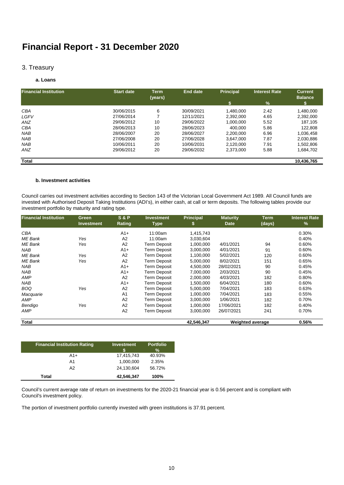#### 3. Treasury

#### **a. Loans**

| <b>Financial Institution</b> | <b>Start date</b> | <b>Term</b><br>(years) | <b>End date</b> | <b>Principal</b> | <b>Interest Rate</b> | <b>Current</b><br><b>Balance</b> |
|------------------------------|-------------------|------------------------|-----------------|------------------|----------------------|----------------------------------|
|                              |                   |                        |                 |                  | %                    |                                  |
| <b>CBA</b>                   | 30/06/2015        | 6                      | 30/09/2021      | 1.480.000        | 2.42                 | 1,480,000                        |
| LGFV                         | 27/06/2014        |                        | 12/11/2021      | 2.392.000        | 4.65                 | 2,392,000                        |
| ANZ                          | 29/06/2012        | 10                     | 29/06/2022      | 1,000,000        | 5.52                 | 187.105                          |
| <b>CBA</b>                   | 28/06/2013        | 10                     | 28/06/2023      | 400.000          | 5.86                 | 122,808                          |
| <b>NAB</b>                   | 28/06/2007        | 20                     | 28/06/2027      | 2.200.000        | 6.96                 | 1,036,458                        |
| <b>NAB</b>                   | 27/06/2008        | 20                     | 27/06/2028      | 3.647.000        | 7.87                 | 2.030.886                        |
| <b>NAB</b>                   | 10/06/2011        | 20                     | 10/06/2031      | 2,120,000        | 7.91                 | 1,502,806                        |
| ANZ                          | 29/06/2012        | 20                     | 29/06/2032      | 2.373.000        | 5.88                 | 1.684.702                        |
| Total                        |                   |                        |                 |                  |                      | 10,436,765                       |

#### **b. Investment activities**

Council carries out investment activities according to Section 143 of the Victorian Local Government Act 1989. All Council funds are invested with Authorised Deposit Taking Institutions (ADI's), in either cash, at call or term deposits. The following tables provide our investment portfolio by maturity and rating type.

| <b>Financial Institution</b> | <b>Green</b><br><b>Investment</b> | <b>S&amp;P</b><br>Rating | <b>Investment</b><br><b>Type</b> | <b>Principal</b><br>S | <b>Maturity</b><br><b>Date</b> | <b>Term</b><br>(days) | <b>Interest Rate</b><br>$\%$ |
|------------------------------|-----------------------------------|--------------------------|----------------------------------|-----------------------|--------------------------------|-----------------------|------------------------------|
| <b>CBA</b>                   |                                   | $A1+$                    | 11:00am                          | 1,415,743             |                                |                       | 0.30%                        |
| <b>ME</b> Bank               | Yes                               | A2                       | 11:00am                          | 3,030,604             |                                |                       | 0.40%                        |
| <b>ME</b> Bank               | Yes                               | A2                       | <b>Term Deposit</b>              | 1,000,000             | 4/01/2021                      | 94                    | 0.60%                        |
| <b>NAB</b>                   |                                   | $A1+$                    | Term Deposit                     | 3,000,000             | 4/01/2021                      | 91                    | 0.60%                        |
| <b>ME</b> Bank               | Yes                               | A2                       | Term Deposit                     | 1,100,000             | 5/02/2021                      | 120                   | 0.60%                        |
| <b>ME</b> Bank               | Yes                               | A2                       | Term Deposit                     | 5,000,000             | 8/02/2021                      | 151                   | 0.65%                        |
| NAB                          |                                   | $A1+$                    | Term Deposit                     | 4,500,000             | 28/02/2021                     | 90                    | 0.45%                        |
| <b>NAB</b>                   |                                   | $A1+$                    | Term Deposit                     | 7,000,000             | 2/03/2021                      | 90                    | 0.45%                        |
| AMP                          |                                   | A2                       | Term Deposit                     | 2,000,000             | 4/03/2021                      | 182                   | 0.80%                        |
| <b>NAB</b>                   |                                   | $A1+$                    | <b>Term Deposit</b>              | 1,500,000             | 6/04/2021                      | 180                   | 0.60%                        |
| <b>BOQ</b>                   | Yes                               | A2                       | <b>Term Deposit</b>              | 5,000,000             | 7/04/2021                      | 183                   | 0.63%                        |
| Macquarie                    |                                   | A <sub>1</sub>           | Term Deposit                     | 1,000,000             | 7/04/2021                      | 183                   | 0.55%                        |
| <b>AMP</b>                   |                                   | A2                       | Term Deposit                     | 3,000,000             | 1/06/2021                      | 182                   | 0.70%                        |
| Bendigo                      | Yes                               | A2                       | Term Deposit                     | 1.000.000             | 17/06/2021                     | 182                   | 0.40%                        |
| AMP                          |                                   | A2                       | Term Deposit                     | 3,000,000             | 26/07/2021                     | 241                   | 0.70%                        |
| <b>Total</b>                 |                                   |                          |                                  | 42,546,347            | <b>Weighted average</b>        |                       | 0.56%                        |

| <b>Financial Institution Rating</b> | <b>Investment</b><br>ъ | <b>Portfolio</b><br>% |
|-------------------------------------|------------------------|-----------------------|
| $A1+$                               | 17,415,743             | 40.93%                |
| A1                                  | 1,000,000              | 2.35%                 |
| A <sub>2</sub>                      | 24,130,604             | 56.72%                |
| Total                               | 42,546,347             | 100%                  |

Council's investment policy. Council's current average rate of return on investments for the 2020-21 financial year is 0.56 percent and is compliant with

The portion of investment portfolio currently invested with green institutions is 37.91 percent.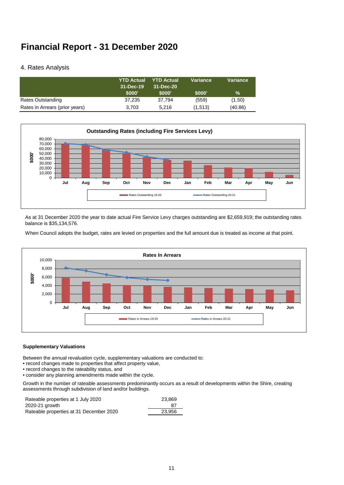#### 4. Rates Analysis

|                                | <b>YTD Actual</b><br>31-Dec-19 | <b>YTD Actual</b><br>31-Dec-20 | Variance | Variance      |
|--------------------------------|--------------------------------|--------------------------------|----------|---------------|
|                                | \$000'                         | \$000'                         | \$000'   | $\frac{9}{6}$ |
| Rates Outstanding              | 37,235                         | 37.794                         | (559)    | (1.50)        |
| Rates in Arrears (prior years) | 3.703                          | 5.216                          | (1,513)  | (40.86)       |



As at 31 December 2020 the year to date actual Fire Service Levy charges outstanding are \$2,659,919; the outstanding rates balance is \$35,134,576.

When Council adopts the budget, rates are levied on properties and the full amount due is treated as income at that point.



#### **Supplementary Valuations**

Between the annual revaluation cycle, supplementary valuations are conducted to:

- record changes made to properties that affect property value,
- record changes to the rateability status, and
- consider any planning amendments made within the cycle.

Growth in the number of rateable assessments predominantly occurs as a result of developments within the Shire, creating assessments through subdivision of land and/or buildings.

| Rateable properties at 1 July 2020      | 23.869 |
|-----------------------------------------|--------|
| 2020-21 growth                          | 87     |
| Rateable properties at 31 December 2020 | 23.956 |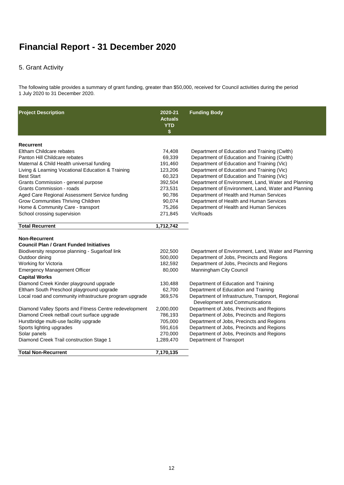### 5. Grant Activity

The following table provides a summary of grant funding, greater than \$50,000, received for Council activities during the period 1 July 2020 to 31 December 2020.

| <b>Project Description</b>                              | 2020-21<br><b>Actuals</b><br><b>YTD</b><br>\$ | <b>Funding Body</b>                                                                 |
|---------------------------------------------------------|-----------------------------------------------|-------------------------------------------------------------------------------------|
| <b>Recurrent</b>                                        |                                               |                                                                                     |
| Eltham Childcare rebates                                | 74,408                                        | Department of Education and Training (Cwlth)                                        |
| Panton Hill Childcare rebates                           | 69,339                                        | Department of Education and Training (Cwlth)                                        |
| Maternal & Child Health universal funding               | 191,460                                       | Department of Education and Training (Vic)                                          |
| Living & Learning Vocational Education & Training       | 123,206                                       | Department of Education and Training (Vic)                                          |
| <b>Best Start</b>                                       | 60,323                                        | Department of Education and Training (Vic)                                          |
| Grants Commission - general purpose                     | 392,504                                       | Department of Environment, Land, Water and Planning                                 |
| Grants Commission - roads                               | 273,531                                       | Department of Environment, Land, Water and Planning                                 |
| Aged Care Regional Assessment Service funding           | 90,786                                        | Department of Health and Human Services                                             |
| Grow Communities Thriving Children                      | 90,074                                        | Department of Health and Human Services                                             |
| Home & Community Care - transport                       | 75,266                                        | Department of Health and Human Services                                             |
| School crossing supervision                             | 271,845                                       | <b>VicRoads</b>                                                                     |
| <b>Total Recurrent</b>                                  | 1,712,742                                     |                                                                                     |
| <b>Non-Recurrent</b>                                    |                                               |                                                                                     |
| <b>Council Plan / Grant Funded Initiatives</b>          |                                               |                                                                                     |
| Biodiversity response planning - Sugarloaf link         | 202,500                                       | Department of Environment, Land, Water and Planning                                 |
| Outdoor dining                                          | 500,000                                       | Department of Jobs, Precincts and Regions                                           |
| Working for Victoria                                    | 182,592                                       | Department of Jobs, Precincts and Regions                                           |
| <b>Emergency Management Officer</b>                     | 80,000                                        | Manningham City Council                                                             |
| <b>Capital Works</b>                                    |                                               |                                                                                     |
| Diamond Creek Kinder playground upgrade                 | 130,488                                       | Department of Education and Training                                                |
| Eltham South Preschool playground upgrade               | 62,700                                        | Department of Education and Training                                                |
| Local road and community infrastructure program upgrade | 369,576                                       | Department of Infrastructure, Transport, Regional<br>Development and Communications |
| Diamond Valley Sports and Fitness Centre redevelopment  | 2,000,000                                     | Department of Jobs, Precincts and Regions                                           |
| Diamond Creek netball court surface upgrade             | 786,193                                       | Department of Jobs, Precincts and Regions                                           |
| Hurstbridge multi-use facility upgrade                  | 705,000                                       | Department of Jobs, Precincts and Regions                                           |
| Sports lighting upgrades                                | 591,616                                       | Department of Jobs, Precincts and Regions                                           |
| Solar panels                                            | 270,000                                       | Department of Jobs, Precincts and Regions                                           |
| Diamond Creek Trail construction Stage 1                | 1,289,470                                     | Department of Transport                                                             |
| <b>Total Non-Recurrent</b>                              | 7,170,135                                     |                                                                                     |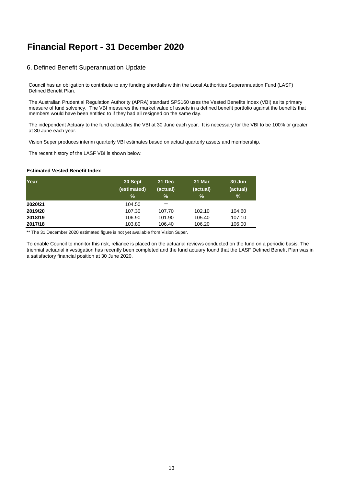#### 6. Defined Benefit Superannuation Update

Council has an obligation to contribute to any funding shortfalls within the Local Authorities Superannuation Fund (LASF) Defined Benefit Plan.

The Australian Prudential Regulation Authority (APRA) standard SPS160 uses the Vested Benefits Index (VBI) as its primary measure of fund solvency. The VBI measures the market value of assets in a defined benefit portfolio against the benefits that members would have been entitled to if they had all resigned on the same day.

The independent Actuary to the fund calculates the VBI at 30 June each year. It is necessary for the VBI to be 100% or greater at 30 June each year.

Vision Super produces interim quarterly VBI estimates based on actual quarterly assets and membership.

The recent history of the LASF VBI is shown below:

#### **Estimated Vested Benefit Index**

| Year    | 30 Sept<br>(estimated)<br>% | 31 Dec<br>(actual)<br>$\frac{9}{6}$ | 31 Mar<br>(actual)<br>% | 30 Jun<br>(actual)<br>% |
|---------|-----------------------------|-------------------------------------|-------------------------|-------------------------|
| 2020/21 | 104.50                      | $***$                               |                         |                         |
| 2019/20 | 107.30                      | 107.70                              | 102.10                  | 104.60                  |
| 2018/19 | 106.90                      | 101.90                              | 105.40                  | 107.10                  |
| 2017/18 | 103.80                      | 106.40                              | 106.20                  | 106.00                  |

\*\* The 31 December 2020 estimated figure is not yet available from Vision Super.

To enable Council to monitor this risk, reliance is placed on the actuarial reviews conducted on the fund on a periodic basis. The triennial actuarial investigation has recently been completed and the fund actuary found that the LASF Defined Benefit Plan was in a satisfactory financial position at 30 June 2020.